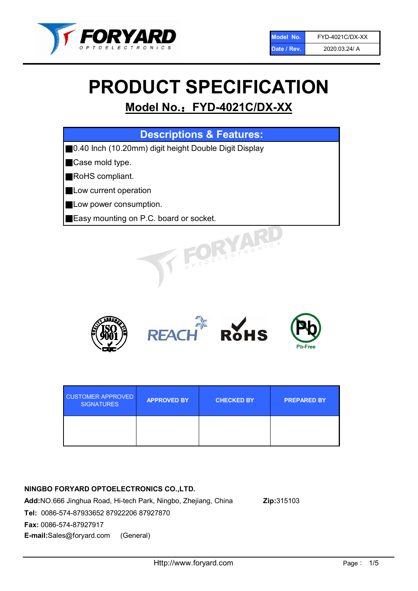

# PRODUCT SPECIFICATION

# Model No.: FYD-4021C/DX-XX

| <b>Descriptions &amp; Features:</b>                    |
|--------------------------------------------------------|
| ■0.40 Inch (10.20mm) digit height Double Digit Display |
| Case mold type.                                        |
| RoHS compliant.                                        |
| Low current operation                                  |
| Low power consumption.                                 |
| <b>Easy mounting on P.C. board or socket.</b>          |
| TOELECTRONIC                                           |



| <b>CUSTOMER APPROVED</b><br><b>SIGNATURES</b> | <b>APPROVED BY</b> | <b>CHECKED BY</b> | <b>PREPARED BY</b> |
|-----------------------------------------------|--------------------|-------------------|--------------------|
|                                               |                    |                   |                    |

# NINGBO FORYARD OPTOELECTRONICS CO.,LTD.

Add:NO.666 Jinghua Road, Hi-tech Park, Ningbo, Zhejiang, China Zip:315103 Tel: 0086-574-87933652 87922206 87927870 Fax: 0086-574-87927917 E-mail:Sales@foryard.com (General)

Http://www.foryard.com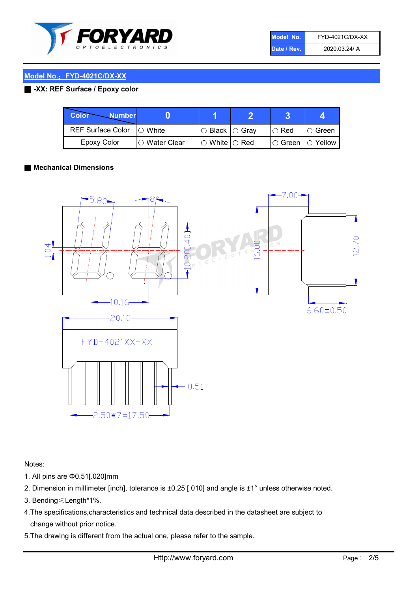

| Model No.   | FYD-4021C/DX-XX |
|-------------|-----------------|
| Date / Rev. | 2020.03.24/ A   |

#### Model No.: FYD-4021C/DX-XX

### ■ -XX: REF Surface / Epoxy color

| Color<br><b>Number</b>      |                |                                                   |             |                |
|-----------------------------|----------------|---------------------------------------------------|-------------|----------------|
| REF Surface Color   O White |                | ○ Black  ○ Gray                                   | $\circ$ Red | $\circ$ Green  |
| Epoxy Color                 | I⊖ Water Clear | $\mathbin{\varcap}$ White $\mathbin{\varcap}$ Red | IO Green∶   | $\circ$ Yellow |

#### ■ Mechanical Dimensions



Notes:

- 1. All pins are Φ0.51[.020]mm
- 2. Dimension in millimeter [inch], tolerance is ±0.25 [.010] and angle is ±1° unless otherwise noted.
- 3. Bending≤Length\*1%.
- 4.The specifications,characteristics and technical data described in the datasheet are subject to change without prior notice.
- 5.The drawing is different from the actual one, please refer to the sample.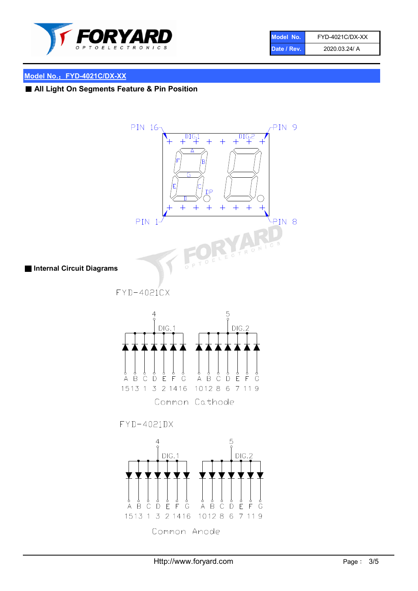

| Model No.   | FYD-4021C/DX-XX |
|-------------|-----------------|
| Date / Rev. | 2020.03.24/ A   |

# Model No.: FYD-4021C/DX-XX

■ All Light On Segments Feature & Pin Position

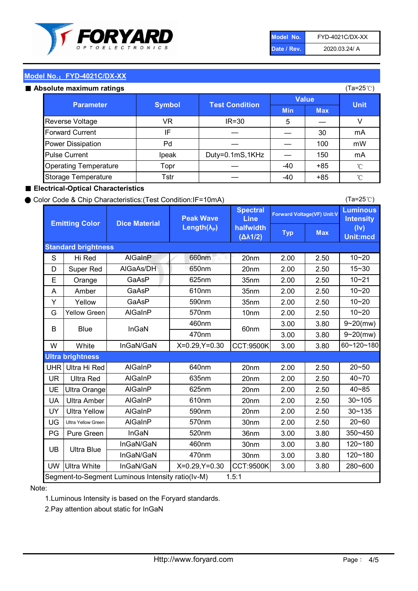

| Model No.   | FYD-4021C/DX-XX |
|-------------|-----------------|
| Date / Rev. | 2020.03.24/ A   |

(Ta=25℃)

### Model No.: FYD-4021C/DX-XX

#### Absolute maximum

| solute maximum ratings       |               |                       |              |            | (Ta=25℃)    |
|------------------------------|---------------|-----------------------|--------------|------------|-------------|
| <b>Parameter</b>             | <b>Symbol</b> | <b>Test Condition</b> | <b>Value</b> |            |             |
|                              |               |                       | <b>Min</b>   | <b>Max</b> | <b>Unit</b> |
| Reverse Voltage              | VR            | $IR = 30$             | 5            |            |             |
| <b>Forward Current</b>       | IF            |                       |              | 30         | mA          |
| Power Dissipation            | Pd            |                       |              | 100        | mW          |
| <b>Pulse Current</b>         | Ipeak         | Duty=0.1mS,1KHz       |              | 150        | mA          |
| <b>Operating Temperature</b> | Topr          |                       | $-40$        | $+85$      | °C          |
| Storage Temperature          | Tstr          |                       | -40          | $+85$      | °C          |

#### ■ Electrical-Optical Characteristics

#### ● Color Code & Chip Characteristics:(Test Condition:IF=10mA)

Typ Max S | Hi $\textsf{Red}$  | AlGaInP | 660nm LE 20nm | 2.00 | 2.50 D | Super Red | AIGaAs/DH | 650nm | 20nm | 2.00 | 2.50 E | Orange | GaAsP | 625nm | 35nm | 2.00 | 2.50 A | Amber | GaAsP | 610nm | 35nm | 2.00 | 2.50 Y | Yellow | GaAsP | 590nm | 35nm | 2.00 | 2.50 G Yellow Green AIGaInP | 570nm | 10nm | 2.00 | 2.50 3.00 3.80 3.00 3.80 W | White | InGaN/GaN | X=0.29,Y=0.30 |CCT:9500K| 3.00 | 3.80 UHR Ultra Hi Red | AlGaInP | 640nm | 20nm | 2.00 | 2.50 UR | Ultra Red | AlGaInP | 635nm | 20nm | 2.00 | 2.50 UE Ultra Orange | AIGaInP | 625nm | 20nm | 2.00 | 2.50 UA Ultra Amber | AIGaInP | 610nm | 20nm | 2.00 | 2.50  $UV$  Ultra Yellow  $\vert$  AlGaInP  $\vert$  590nm  $\vert$  20nm  $\vert$  2.00  $\vert$  2.50  $\text{UG}$  Ultra Yellow Green | AIGaInP | 570nm | 30nm | 2.00 | 2.50 PG Pure Green | InGaN | 520nm | 36nm | 3.00 | 3.80 30nm 3.00 3.80 30nm 3.00 3.80 UW |Ultra White | InGaN/GaN | X=0.29,Y=0.30 |CCT:9500K| 3.00 | 3.80 10~20 Standard brightness Forward Voltage(VF) Unit:V 15~30 10~20 10~20 625nm GaAsP 590nm **Emitting Color Dice Material** 10~21 610nm Luminous **Intensity** (Iv) Unit:mcd AlGainP 660nm GaAsP GaAsP AlGaAs/DH **Spectral** Line halfwidth (∆λ1/2) Peak Wave Length $(\lambda_{\rm P})$ UB 460nm 635nm AlGaInP AlGaInP AlGaInP InGaN/GaN AlGaInP | 570nm | 10nm | 2.00 | 2.50 | 10~20 30~105 30~135 460nm 520nm Ultra brightness **AlGaInP** AlGaInP 60nm AlGaInP 640nm Segment-to-Segment Luminous Intensity ratio(Iv-M) 1.5:1 610nm 9~20(mw) 350~450 470nm 120~180 120~180 Ultra Blue InGaN/GaN InGaN/GaN 9~20(mw) 20~50 280~600 570nm | 30nm | 2.00 | 2.50 | 20~60 470nm 590nm InGaN/GaN B Blue I InGaN 40~85 60~120~180 40~70

#### Note:

1.Luminous Intensity is based on the Foryard standards.

2.Pay attention about static for InGaN